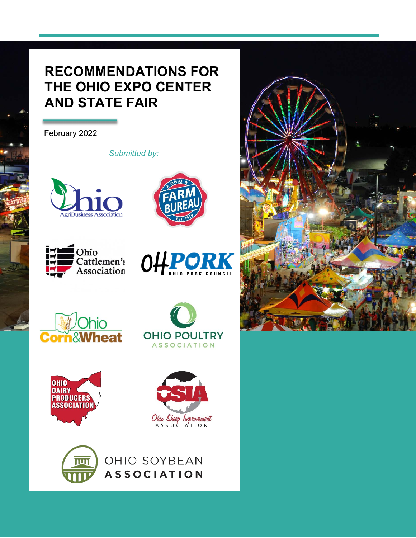# **RECOMMENDATIONS FOR THE OHIO EXPO CENTER AND STATE FAIR**

February 2022

*Submitted by:*



















OHIO SOYBEAN **ASSOCIATION** 

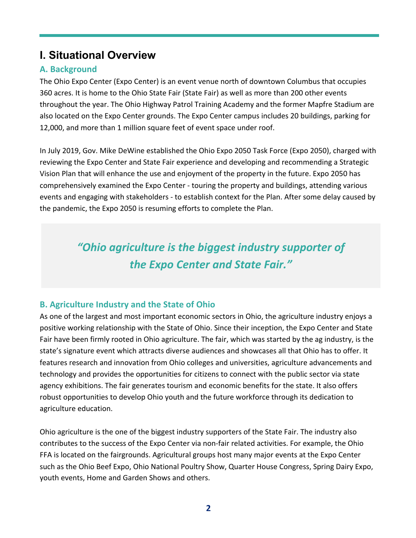## **I. Situational Overview**

### **A. Background**

The Ohio Expo Center (Expo Center) is an event venue north of downtown Columbus that occupies 360 acres. It is home to the Ohio State Fair (State Fair) as well as more than 200 other events throughout the year. The Ohio Highway Patrol Training Academy and the former Mapfre Stadium are also located on the Expo Center grounds. The Expo Center campus includes 20 buildings, parking for 12,000, and more than 1 million square feet of event space under roof.

In July 2019, Gov. Mike DeWine established the Ohio Expo 2050 Task Force (Expo 2050), charged with reviewing the Expo Center and State Fair experience and developing and recommending a Strategic Vision Plan that will enhance the use and enjoyment of the property in the future. Expo 2050 has comprehensively examined the Expo Center - touring the property and buildings, attending various events and engaging with stakeholders - to establish context for the Plan. After some delay caused by the pandemic, the Expo 2050 is resuming efforts to complete the Plan.

# *"Ohio agriculture is the biggest industry supporter of the Expo Center and State Fair."*

### **B. Agriculture Industry and the State of Ohio**

As one of the largest and most important economic sectors in Ohio, the agriculture industry enjoys a positive working relationship with the State of Ohio. Since their inception, the Expo Center and State Fair have been firmly rooted in Ohio agriculture. The fair, which was started by the ag industry, is the state's signature event which attracts diverse audiences and showcases all that Ohio has to offer. It features research and innovation from Ohio colleges and universities, agriculture advancements and technology and provides the opportunities for citizens to connect with the public sector via state agency exhibitions. The fair generates tourism and economic benefits for the state. It also offers robust opportunities to develop Ohio youth and the future workforce through its dedication to agriculture education.

Ohio agriculture is the one of the biggest industry supporters of the State Fair. The industry also contributes to the success of the Expo Center via non-fair related activities. For example, the Ohio FFA is located on the fairgrounds. Agricultural groups host many major events at the Expo Center such as the Ohio Beef Expo, Ohio National Poultry Show, Quarter House Congress, Spring Dairy Expo, youth events, Home and Garden Shows and others.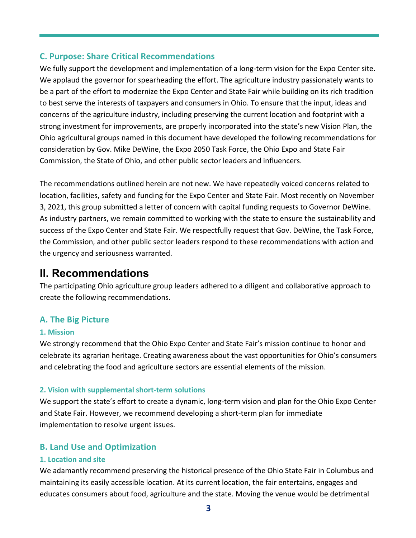#### **C. Purpose: Share Critical Recommendations**

We fully support the development and implementation of a long-term vision for the Expo Center site. We applaud the governor for spearheading the effort. The agriculture industry passionately wants to be a part of the effort to modernize the Expo Center and State Fair while building on its rich tradition to best serve the interests of taxpayers and consumers in Ohio. To ensure that the input, ideas and concerns of the agriculture industry, including preserving the current location and footprint with a strong investment for improvements, are properly incorporated into the state's new Vision Plan, the Ohio agricultural groups named in this document have developed the following recommendations for consideration by Gov. Mike DeWine, the Expo 2050 Task Force, the Ohio Expo and State Fair Commission, the State of Ohio, and other public sector leaders and influencers.

The recommendations outlined herein are not new. We have repeatedly voiced concerns related to location, facilities, safety and funding for the Expo Center and State Fair. Most recently on November 3, 2021, this group submitted a letter of concern with capital funding requests to Governor DeWine. As industry partners, we remain committed to working with the state to ensure the sustainability and success of the Expo Center and State Fair. We respectfully request that Gov. DeWine, the Task Force, the Commission, and other public sector leaders respond to these recommendations with action and the urgency and seriousness warranted.

## **II. Recommendations**

The participating Ohio agriculture group leaders adhered to a diligent and collaborative approach to create the following recommendations.

#### **A. The Big Picture**

#### **1. Mission**

We strongly recommend that the Ohio Expo Center and State Fair's mission continue to honor and celebrate its agrarian heritage. Creating awareness about the vast opportunities for Ohio's consumers and celebrating the food and agriculture sectors are essential elements of the mission.

#### **2. Vision with supplemental short-term solutions**

We support the state's effort to create a dynamic, long-term vision and plan for the Ohio Expo Center and State Fair. However, we recommend developing a short-term plan for immediate implementation to resolve urgent issues.

#### **B. Land Use and Optimization**

#### **1. Location and site**

We adamantly recommend preserving the historical presence of the Ohio State Fair in Columbus and maintaining its easily accessible location. At its current location, the fair entertains, engages and educates consumers about food, agriculture and the state. Moving the venue would be detrimental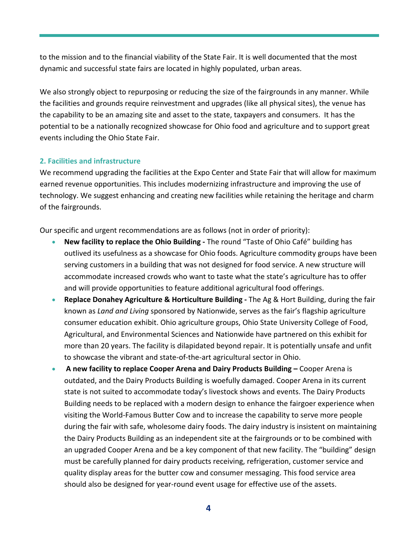to the mission and to the financial viability of the State Fair. It is well documented that the most dynamic and successful state fairs are located in highly populated, urban areas.

We also strongly object to repurposing or reducing the size of the fairgrounds in any manner. While the facilities and grounds require reinvestment and upgrades (like all physical sites), the venue has the capability to be an amazing site and asset to the state, taxpayers and consumers. It has the potential to be a nationally recognized showcase for Ohio food and agriculture and to support great events including the Ohio State Fair.

#### **2. Facilities and infrastructure**

We recommend upgrading the facilities at the Expo Center and State Fair that will allow for maximum earned revenue opportunities. This includes modernizing infrastructure and improving the use of technology. We suggest enhancing and creating new facilities while retaining the heritage and charm of the fairgrounds.

Our specific and urgent recommendations are as follows (not in order of priority):

- **New facility to replace the Ohio Building -** The round "Taste of Ohio Café" building has outlived its usefulness as a showcase for Ohio foods. Agriculture commodity groups have been serving customers in a building that was not designed for food service. A new structure will accommodate increased crowds who want to taste what the state's agriculture has to offer and will provide opportunities to feature additional agricultural food offerings.
- **Replace Donahey Agriculture & Horticulture Building -** The Ag & Hort Building, during the fair known as *Land and Living* sponsored by Nationwide, serves as the fair's flagship agriculture consumer education exhibit. Ohio agriculture groups, Ohio State University College of Food, Agricultural, and Environmental Sciences and Nationwide have partnered on this exhibit for more than 20 years. The facility is dilapidated beyond repair. It is potentially unsafe and unfit to showcase the vibrant and state-of-the-art agricultural sector in Ohio.
- **A new facility to replace Cooper Arena and Dairy Products Building –** Cooper Arena is outdated, and the Dairy Products Building is woefully damaged. Cooper Arena in its current state is not suited to accommodate today's livestock shows and events. The Dairy Products Building needs to be replaced with a modern design to enhance the fairgoer experience when visiting the World-Famous Butter Cow and to increase the capability to serve more people during the fair with safe, wholesome dairy foods. The dairy industry is insistent on maintaining the Dairy Products Building as an independent site at the fairgrounds or to be combined with an upgraded Cooper Arena and be a key component of that new facility. The "building" design must be carefully planned for dairy products receiving, refrigeration, customer service and quality display areas for the butter cow and consumer messaging. This food service area should also be designed for year-round event usage for effective use of the assets.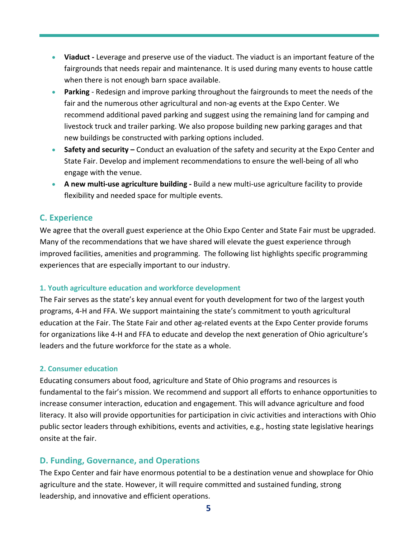- **Viaduct -** Leverage and preserve use of the viaduct. The viaduct is an important feature of the fairgrounds that needs repair and maintenance. It is used during many events to house cattle when there is not enough barn space available.
- **Parking** Redesign and improve parking throughout the fairgrounds to meet the needs of the fair and the numerous other agricultural and non-ag events at the Expo Center. We recommend additional paved parking and suggest using the remaining land for camping and livestock truck and trailer parking. We also propose building new parking garages and that new buildings be constructed with parking options included.
- **Safety and security** Conduct an evaluation of the safety and security at the Expo Center and State Fair. Develop and implement recommendations to ensure the well-being of all who engage with the venue.
- **A new multi-use agriculture building -** Build a new multi-use agriculture facility to provide flexibility and needed space for multiple events.

#### **C. Experience**

We agree that the overall guest experience at the Ohio Expo Center and State Fair must be upgraded. Many of the recommendations that we have shared will elevate the guest experience through improved facilities, amenities and programming. The following list highlights specific programming experiences that are especially important to our industry.

#### **1. Youth agriculture education and workforce development**

The Fair serves as the state's key annual event for youth development for two of the largest youth programs, 4-H and FFA. We support maintaining the state's commitment to youth agricultural education at the Fair. The State Fair and other ag-related events at the Expo Center provide forums for organizations like 4-H and FFA to educate and develop the next generation of Ohio agriculture's leaders and the future workforce for the state as a whole.

#### **2. Consumer education**

Educating consumers about food, agriculture and State of Ohio programs and resources is fundamental to the fair's mission. We recommend and support all efforts to enhance opportunities to increase consumer interaction, education and engagement. This will advance agriculture and food literacy. It also will provide opportunities for participation in civic activities and interactions with Ohio public sector leaders through exhibitions, events and activities, e.g., hosting state legislative hearings onsite at the fair.

#### **D. Funding, Governance, and Operations**

The Expo Center and fair have enormous potential to be a destination venue and showplace for Ohio agriculture and the state. However, it will require committed and sustained funding, strong leadership, and innovative and efficient operations.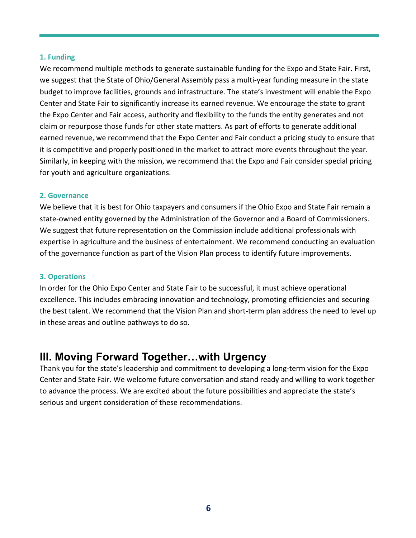#### **1. Funding**

We recommend multiple methods to generate sustainable funding for the Expo and State Fair. First, we suggest that the State of Ohio/General Assembly pass a multi-year funding measure in the state budget to improve facilities, grounds and infrastructure. The state's investment will enable the Expo Center and State Fair to significantly increase its earned revenue. We encourage the state to grant the Expo Center and Fair access, authority and flexibility to the funds the entity generates and not claim or repurpose those funds for other state matters. As part of efforts to generate additional earned revenue, we recommend that the Expo Center and Fair conduct a pricing study to ensure that it is competitive and properly positioned in the market to attract more events throughout the year. Similarly, in keeping with the mission, we recommend that the Expo and Fair consider special pricing for youth and agriculture organizations.

#### **2. Governance**

We believe that it is best for Ohio taxpayers and consumers if the Ohio Expo and State Fair remain a state-owned entity governed by the Administration of the Governor and a Board of Commissioners. We suggest that future representation on the Commission include additional professionals with expertise in agriculture and the business of entertainment. We recommend conducting an evaluation of the governance function as part of the Vision Plan process to identify future improvements.

#### **3. Operations**

In order for the Ohio Expo Center and State Fair to be successful, it must achieve operational excellence. This includes embracing innovation and technology, promoting efficiencies and securing the best talent. We recommend that the Vision Plan and short-term plan address the need to level up in these areas and outline pathways to do so.

## **III. Moving Forward Together…with Urgency**

Thank you for the state's leadership and commitment to developing a long-term vision for the Expo Center and State Fair. We welcome future conversation and stand ready and willing to work together to advance the process. We are excited about the future possibilities and appreciate the state's serious and urgent consideration of these recommendations.